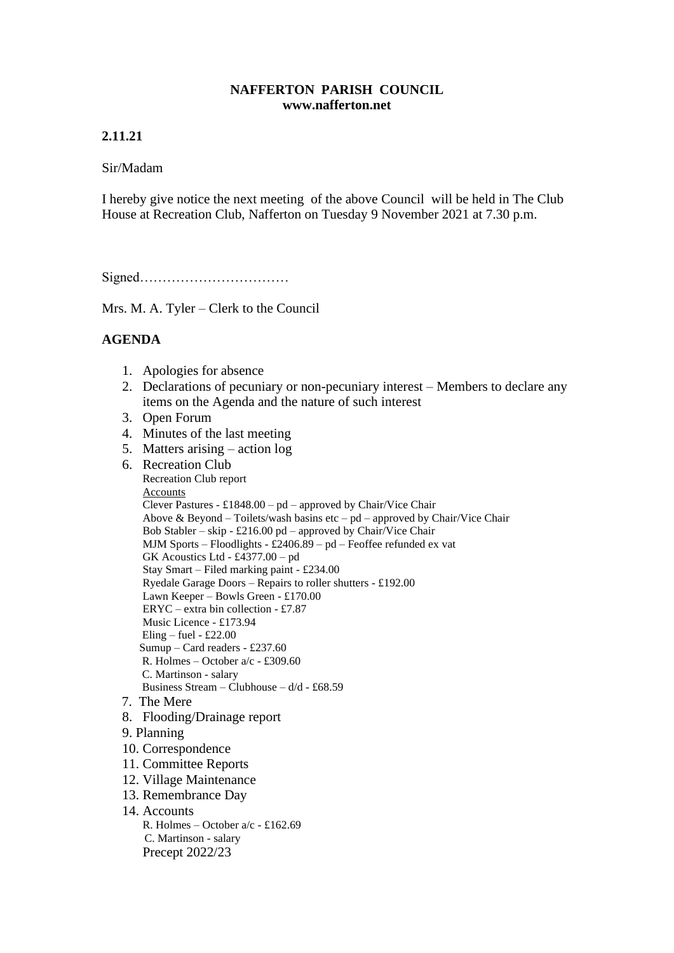### **NAFFERTON PARISH COUNCIL www.nafferton.net**

# **2.11.21**

### Sir/Madam

I hereby give notice the next meeting of the above Council will be held in The Club House at Recreation Club, Nafferton on Tuesday 9 November 2021 at 7.30 p.m.

Signed……………………………

Mrs. M. A. Tyler – Clerk to the Council

## **AGENDA**

- 1. Apologies for absence
- 2. Declarations of pecuniary or non-pecuniary interest Members to declare any items on the Agenda and the nature of such interest
- 3. Open Forum
- 4. Minutes of the last meeting
- 5. Matters arising action log
- 6. Recreation Club Recreation Club report Accounts Clever Pastures -  $\pounds$ 1848.00 – pd – approved by Chair/Vice Chair Above & Beyond – Toilets/wash basins etc –  $pd$  – approved by Chair/Vice Chair Bob Stabler – skip - £216.00 pd – approved by Chair/Vice Chair MJM Sports – Floodlights - £2406.89 – pd – Feoffee refunded ex vat GK Acoustics Ltd - £4377.00 – pd Stay Smart – Filed marking paint - £234.00 Ryedale Garage Doors – Repairs to roller shutters - £192.00 Lawn Keeper – Bowls Green - £170.00 ERYC – extra bin collection - £7.87 Music Licence - £173.94 Eling – fuel -  $£22.00$  Sumup – Card readers - £237.60 R. Holmes – October a/c - £309.60 C. Martinson - salary Business Stream – Clubhouse –  $d/d - \text{\pounds}68.59$  7. The Mere 8. Flooding/Drainage report 9. Planning 10. Correspondence 11. Committee Reports 12. Village Maintenance 13. Remembrance Day 14. Accounts
	- R. Holmes October a/c £162.69 C. Martinson - salary Precept 2022/23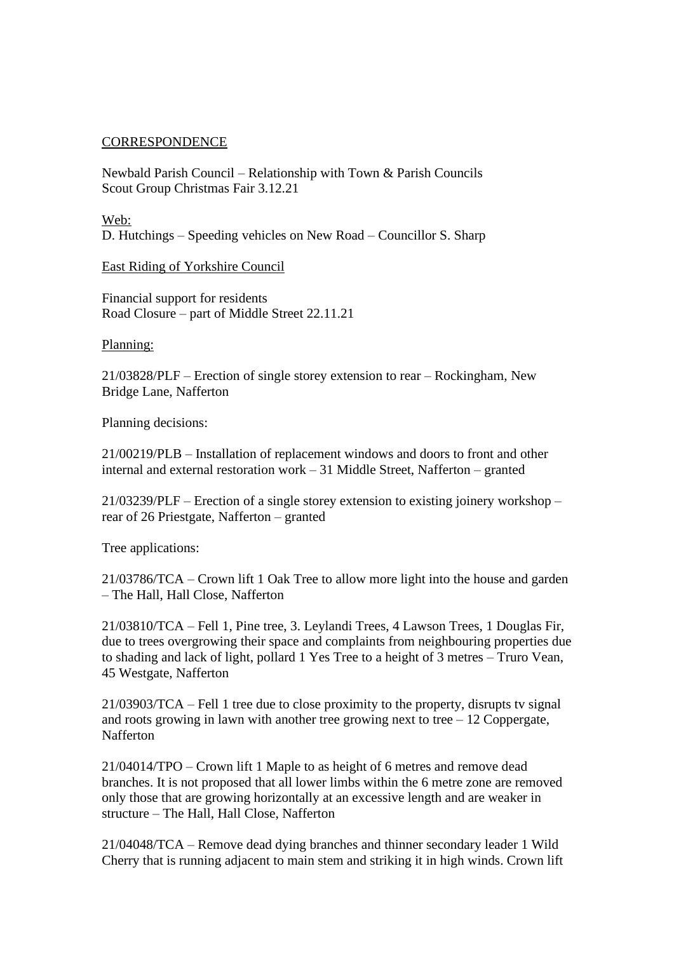## **CORRESPONDENCE**

Newbald Parish Council – Relationship with Town & Parish Councils Scout Group Christmas Fair 3.12.21

Web: D. Hutchings – Speeding vehicles on New Road – Councillor S. Sharp

East Riding of Yorkshire Council

Financial support for residents Road Closure – part of Middle Street 22.11.21

Planning:

21/03828/PLF – Erection of single storey extension to rear – Rockingham, New Bridge Lane, Nafferton

Planning decisions:

21/00219/PLB – Installation of replacement windows and doors to front and other internal and external restoration work – 31 Middle Street, Nafferton – granted

21/03239/PLF – Erection of a single storey extension to existing joinery workshop – rear of 26 Priestgate, Nafferton – granted

Tree applications:

21/03786/TCA – Crown lift 1 Oak Tree to allow more light into the house and garden – The Hall, Hall Close, Nafferton

21/03810/TCA – Fell 1, Pine tree, 3. Leylandi Trees, 4 Lawson Trees, 1 Douglas Fir, due to trees overgrowing their space and complaints from neighbouring properties due to shading and lack of light, pollard 1 Yes Tree to a height of 3 metres – Truro Vean, 45 Westgate, Nafferton

21/03903/TCA – Fell 1 tree due to close proximity to the property, disrupts tv signal and roots growing in lawn with another tree growing next to tree  $-12$  Coppergate, Nafferton

21/04014/TPO – Crown lift 1 Maple to as height of 6 metres and remove dead branches. It is not proposed that all lower limbs within the 6 metre zone are removed only those that are growing horizontally at an excessive length and are weaker in structure – The Hall, Hall Close, Nafferton

21/04048/TCA – Remove dead dying branches and thinner secondary leader 1 Wild Cherry that is running adjacent to main stem and striking it in high winds. Crown lift